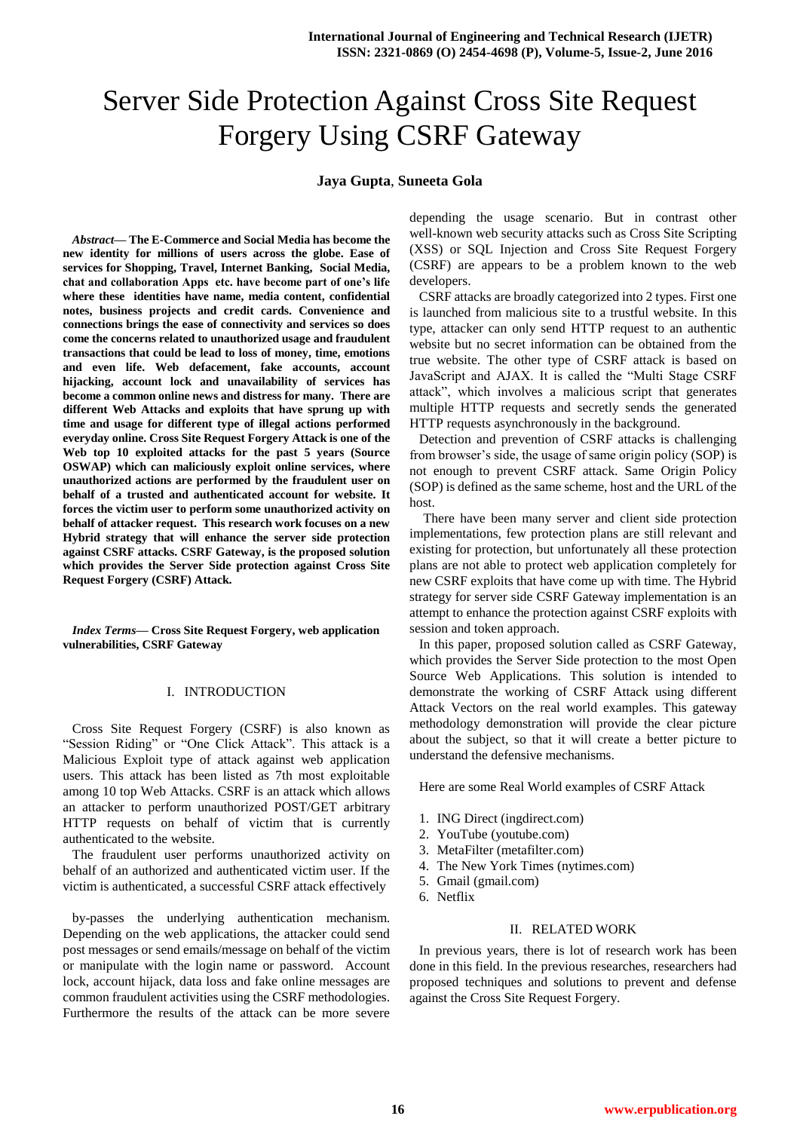# Server Side Protection Against Cross Site Request Forgery Using CSRF Gateway

## **Jaya Gupta**, **Suneeta Gola**

*Abstract***— The E-Commerce and Social Media has become the new identity for millions of users across the globe. Ease of services for Shopping, Travel, Internet Banking, Social Media, chat and collaboration Apps etc. have become part of one's life where these identities have name, media content, confidential notes, business projects and credit cards. Convenience and connections brings the ease of connectivity and services so does come the concerns related to unauthorized usage and fraudulent transactions that could be lead to loss of money, time, emotions**  and even life. Web defacement, fake accounts, account **hijacking, account lock and unavailability of services has become a common online news and distress for many. There are different Web Attacks and exploits that have sprung up with time and usage for different type of illegal actions performed everyday online. Cross Site Request Forgery Attack is one of the Web top 10 exploited attacks for the past 5 years (Source OSWAP) which can maliciously exploit online services, where unauthorized actions are performed by the fraudulent user on behalf of a trusted and authenticated account for website. It forces the victim user to perform some unauthorized activity on behalf of attacker request. This research work focuses on a new Hybrid strategy that will enhance the server side protection against CSRF attacks. CSRF Gateway, is the proposed solution which provides the Server Side protection against Cross Site Request Forgery (CSRF) Attack.**

*Index Terms***— Cross Site Request Forgery, web application vulnerabilities, CSRF Gateway**

#### I. INTRODUCTION

Cross Site Request Forgery (CSRF) is also known as "Session Riding" or "One Click Attack". This attack is a Malicious Exploit type of attack against web application users. This attack has been listed as 7th most exploitable among 10 top Web Attacks. CSRF is an attack which allows an attacker to perform unauthorized POST/GET arbitrary HTTP requests on behalf of victim that is currently authenticated to the website.

The fraudulent user performs unauthorized activity on behalf of an authorized and authenticated victim user. If the victim is authenticated, a successful CSRF attack effectively

by-passes the underlying authentication mechanism. Depending on the web applications, the attacker could send post messages or send emails/message on behalf of the victim or manipulate with the login name or password. Account lock, account hijack, data loss and fake online messages are common fraudulent activities using the CSRF methodologies. Furthermore the results of the attack can be more severe depending the usage scenario. But in contrast other well-known web security attacks such as Cross Site Scripting (XSS) or SQL Injection and Cross Site Request Forgery (CSRF) are appears to be a problem known to the web developers.

CSRF attacks are broadly categorized into 2 types. First one is launched from malicious site to a trustful website. In this type, attacker can only send HTTP request to an authentic website but no secret information can be obtained from the true website. The other type of CSRF attack is based on JavaScript and AJAX. It is called the "Multi Stage CSRF attack", which involves a malicious script that generates multiple HTTP requests and secretly sends the generated HTTP requests asynchronously in the background.

Detection and prevention of CSRF attacks is challenging from browser's side, the usage of same origin policy (SOP) is not enough to prevent CSRF attack. Same Origin Policy (SOP) is defined as the same scheme, host and the URL of the host.

There have been many server and client side protection implementations, few protection plans are still relevant and existing for protection, but unfortunately all these protection plans are not able to protect web application completely for new CSRF exploits that have come up with time. The Hybrid strategy for server side CSRF Gateway implementation is an attempt to enhance the protection against CSRF exploits with session and token approach.

In this paper, proposed solution called as CSRF Gateway, which provides the Server Side protection to the most Open Source Web Applications. This solution is intended to demonstrate the working of CSRF Attack using different Attack Vectors on the real world examples. This gateway methodology demonstration will provide the clear picture about the subject, so that it will create a better picture to understand the defensive mechanisms.

Here are some Real World examples of CSRF Attack

- 1. ING Direct (ingdirect.com)
- 2. YouTube (youtube.com)
- 3. MetaFilter (metafilter.com)
- 4. The New York Times (nytimes.com)
- 5. Gmail (gmail.com)
- 6. Netflix

## II. RELATED WORK

In previous years, there is lot of research work has been done in this field. In the previous researches, researchers had proposed techniques and solutions to prevent and defense against the Cross Site Request Forgery.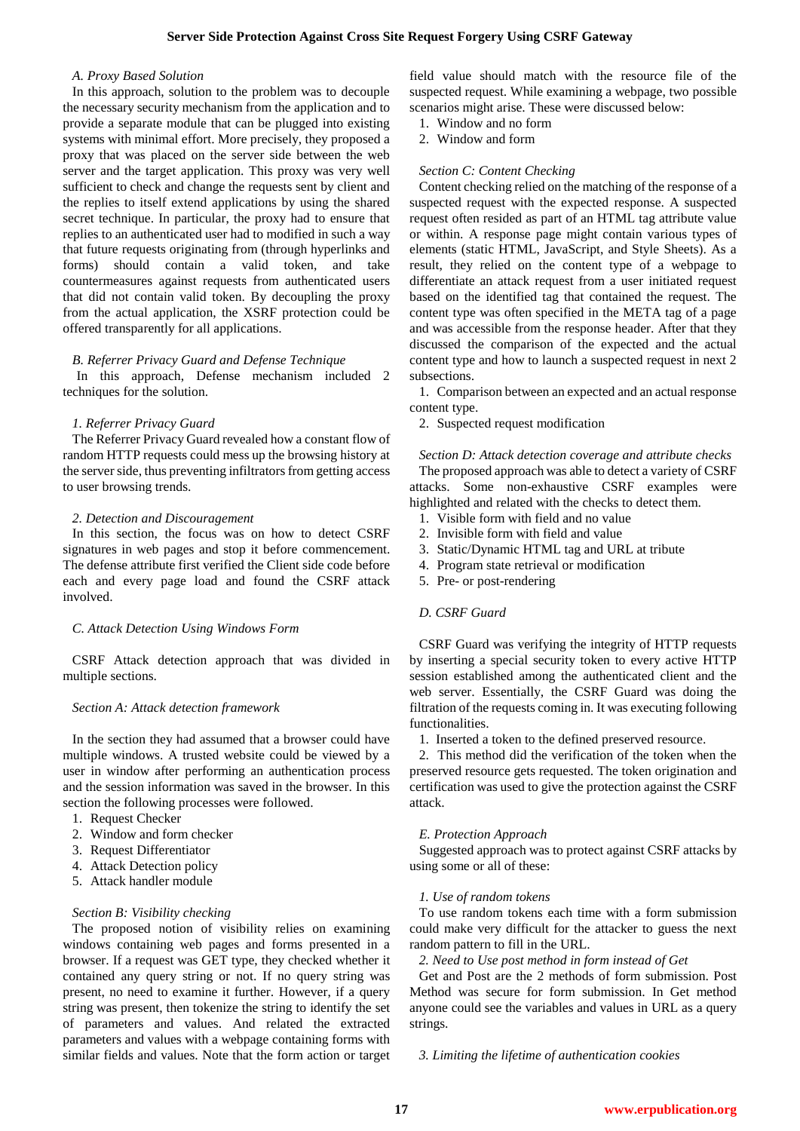#### *A. Proxy Based Solution*

In this approach, solution to the problem was to decouple the necessary security mechanism from the application and to provide a separate module that can be plugged into existing systems with minimal effort. More precisely, they proposed a proxy that was placed on the server side between the web server and the target application. This proxy was very well sufficient to check and change the requests sent by client and the replies to itself extend applications by using the shared secret technique. In particular, the proxy had to ensure that replies to an authenticated user had to modified in such a way that future requests originating from (through hyperlinks and forms) should contain a valid token, and take countermeasures against requests from authenticated users that did not contain valid token. By decoupling the proxy from the actual application, the XSRF protection could be offered transparently for all applications.

### *B. Referrer Privacy Guard and Defense Technique*

In this approach, Defense mechanism included 2 techniques for the solution.

#### *1. Referrer Privacy Guard*

The Referrer Privacy Guard revealed how a constant flow of random HTTP requests could mess up the browsing history at the server side, thus preventing infiltrators from getting access to user browsing trends.

#### *2. Detection and Discouragement*

In this section, the focus was on how to detect CSRF signatures in web pages and stop it before commencement. The defense attribute first verified the Client side code before each and every page load and found the CSRF attack involved.

#### *C. Attack Detection Using Windows Form*

CSRF Attack detection approach that was divided in multiple sections.

### *Section A: Attack detection framework*

In the section they had assumed that a browser could have multiple windows. A trusted website could be viewed by a user in window after performing an authentication process and the session information was saved in the browser. In this section the following processes were followed.

- 1. Request Checker
- 2. Window and form checker
- 3. Request Differentiator
- 4. Attack Detection policy
- 5. Attack handler module

#### *Section B: Visibility checking*

The proposed notion of visibility relies on examining windows containing web pages and forms presented in a browser. If a request was GET type, they checked whether it contained any query string or not. If no query string was present, no need to examine it further. However, if a query string was present, then tokenize the string to identify the set of parameters and values. And related the extracted parameters and values with a webpage containing forms with similar fields and values. Note that the form action or target field value should match with the resource file of the suspected request. While examining a webpage, two possible scenarios might arise. These were discussed below:

- 1. Window and no form
- 2. Window and form

## *Section C: Content Checking*

Content checking relied on the matching of the response of a suspected request with the expected response. A suspected request often resided as part of an HTML tag attribute value or within. A response page might contain various types of elements (static HTML, JavaScript, and Style Sheets). As a result, they relied on the content type of a webpage to differentiate an attack request from a user initiated request based on the identified tag that contained the request. The content type was often specified in the META tag of a page and was accessible from the response header. After that they discussed the comparison of the expected and the actual content type and how to launch a suspected request in next 2 subsections.

1. Comparison between an expected and an actual response content type.

2. Suspected request modification

*Section D: Attack detection coverage and attribute checks* The proposed approach was able to detect a variety of CSRF attacks. Some non-exhaustive CSRF examples were highlighted and related with the checks to detect them.

- 1. Visible form with field and no value
- 2. Invisible form with field and value
- 3. Static/Dynamic HTML tag and URL at tribute
- 4. Program state retrieval or modification
- 5. Pre- or post-rendering

#### *D. CSRF Guard*

CSRF Guard was verifying the integrity of HTTP requests by inserting a special security token to every active HTTP session established among the authenticated client and the web server. Essentially, the CSRF Guard was doing the filtration of the requests coming in. It was executing following functionalities.

1. Inserted a token to the defined preserved resource.

2. This method did the verification of the token when the preserved resource gets requested. The token origination and certification was used to give the protection against the CSRF attack.

#### *E. Protection Approach*

Suggested approach was to protect against CSRF attacks by using some or all of these:

### *1. Use of random tokens*

To use random tokens each time with a form submission could make very difficult for the attacker to guess the next random pattern to fill in the URL.

*2. Need to Use post method in form instead of Get*

Get and Post are the 2 methods of form submission. Post Method was secure for form submission. In Get method anyone could see the variables and values in URL as a query strings.

*3. Limiting the lifetime of authentication cookies*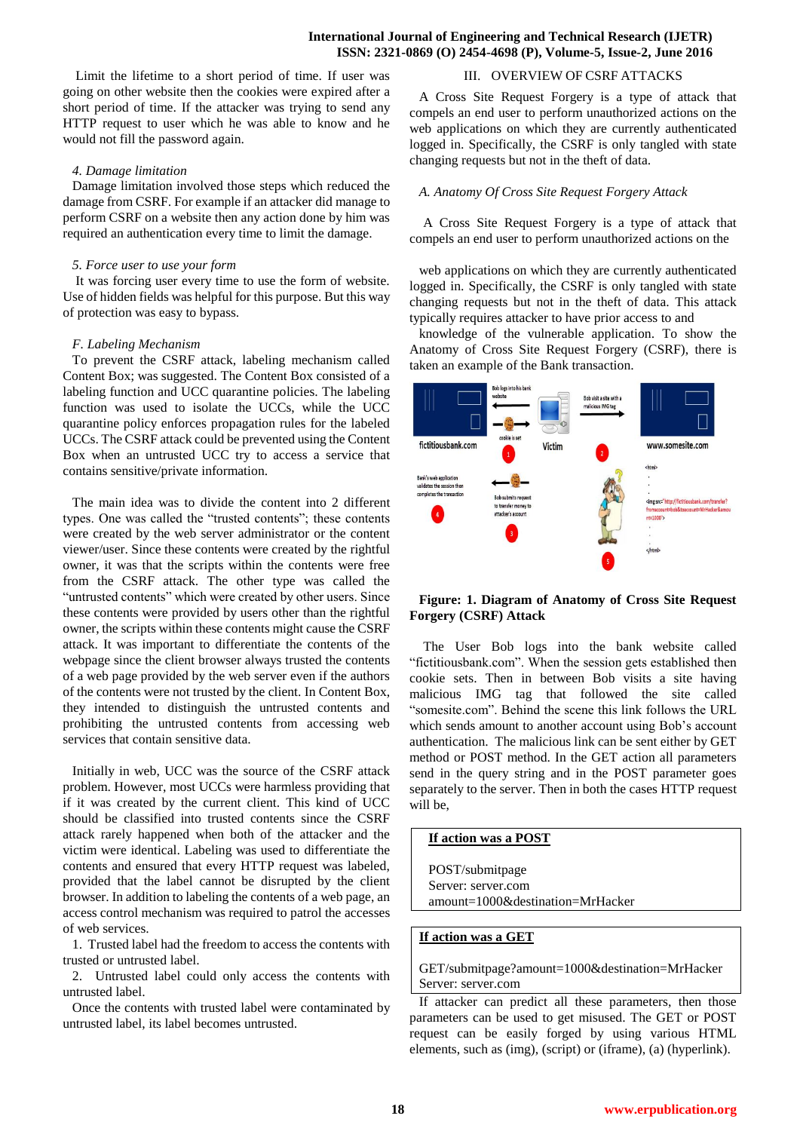Limit the lifetime to a short period of time. If user was going on other website then the cookies were expired after a short period of time. If the attacker was trying to send any HTTP request to user which he was able to know and he would not fill the password again.

#### *4. Damage limitation*

Damage limitation involved those steps which reduced the damage from CSRF. For example if an attacker did manage to perform CSRF on a website then any action done by him was required an authentication every time to limit the damage.

#### *5. Force user to use your form*

It was forcing user every time to use the form of website. Use of hidden fields was helpful for this purpose. But this way of protection was easy to bypass.

#### *F. Labeling Mechanism*

To prevent the CSRF attack, labeling mechanism called Content Box; was suggested. The Content Box consisted of a labeling function and UCC quarantine policies. The labeling function was used to isolate the UCCs, while the UCC quarantine policy enforces propagation rules for the labeled UCCs. The CSRF attack could be prevented using the Content Box when an untrusted UCC try to access a service that contains sensitive/private information.

The main idea was to divide the content into 2 different types. One was called the "trusted contents"; these contents were created by the web server administrator or the content viewer/user. Since these contents were created by the rightful owner, it was that the scripts within the contents were free from the CSRF attack. The other type was called the "untrusted contents" which were created by other users. Since these contents were provided by users other than the rightful owner, the scripts within these contents might cause the CSRF attack. It was important to differentiate the contents of the webpage since the client browser always trusted the contents of a web page provided by the web server even if the authors of the contents were not trusted by the client. In Content Box, they intended to distinguish the untrusted contents and prohibiting the untrusted contents from accessing web services that contain sensitive data.

Initially in web, UCC was the source of the CSRF attack problem. However, most UCCs were harmless providing that if it was created by the current client. This kind of UCC should be classified into trusted contents since the CSRF attack rarely happened when both of the attacker and the victim were identical. Labeling was used to differentiate the contents and ensured that every HTTP request was labeled, provided that the label cannot be disrupted by the client browser. In addition to labeling the contents of a web page, an access control mechanism was required to patrol the accesses of web services.

1. Trusted label had the freedom to access the contents with trusted or untrusted label.

2. Untrusted label could only access the contents with untrusted label.

Once the contents with trusted label were contaminated by untrusted label, its label becomes untrusted.

## III. OVERVIEW OF CSRF ATTACKS

A Cross Site Request Forgery is a type of attack that compels an end user to perform unauthorized actions on the web applications on which they are currently authenticated logged in. Specifically, the CSRF is only tangled with state changing requests but not in the theft of data.

### *A. Anatomy Of Cross Site Request Forgery Attack*

A Cross Site Request Forgery is a type of attack that compels an end user to perform unauthorized actions on the

web applications on which they are currently authenticated logged in. Specifically, the CSRF is only tangled with state changing requests but not in the theft of data. This attack typically requires attacker to have prior access to and

knowledge of the vulnerable application. To show the Anatomy of Cross Site Request Forgery (CSRF), there is taken an example of the Bank transaction.



## **Figure: 1. Diagram of Anatomy of Cross Site Request Forgery (CSRF) Attack**

The User Bob logs into the bank website called "fictitiousbank.com". When the session gets established then cookie sets. Then in between Bob visits a site having malicious IMG tag that followed the site called "somesite.com". Behind the scene this link follows the URL which sends amount to another account using Bob's account authentication. The malicious link can be sent either by GET method or POST method. In the GET action all parameters send in the query string and in the POST parameter goes separately to the server. Then in both the cases HTTP request will be,

#### **If action was a POST**

POST/submitpage Server: server.com amount=1000&destination=MrHacker

### **If action was a GET**

GET/submitpage?amount=1000&destination=MrHacker Server: server.com

If attacker can predict all these parameters, then those parameters can be used to get misused. The GET or POST request can be easily forged by using various HTML elements, such as (img), (script) or (iframe), (a) (hyperlink).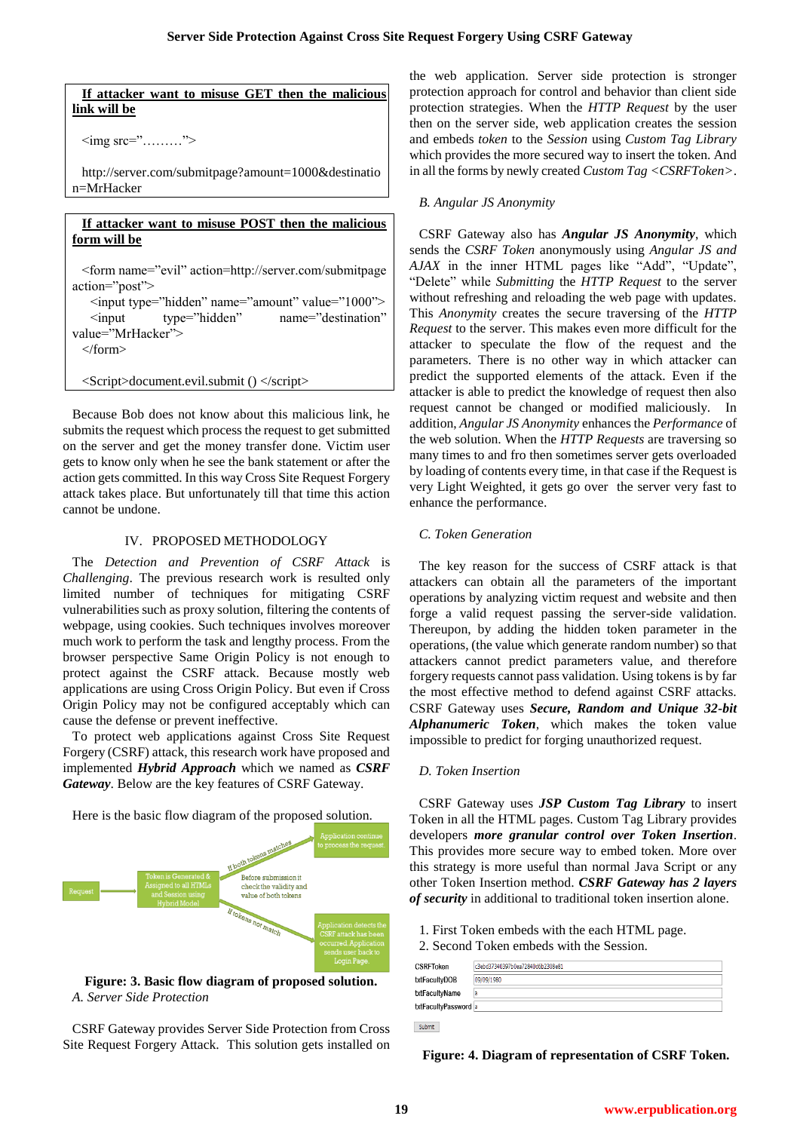**If attacker want to misuse GET then the malicious link will be**

 $\langle \text{img src} = "$ ………">

http://server.com/submitpage?amount=1000&destinatio n=MrHacker

# **If attacker want to misuse POST then the malicious form will be**

| <form action="http://server.com/submitpage&lt;/th" name="evil"></form>         |  |  |  |  |
|--------------------------------------------------------------------------------|--|--|--|--|
| action="post">                                                                 |  |  |  |  |
| <input name="amount" type="hidden" value="1000"/>                              |  |  |  |  |
| <input <="" name="destination" td="" type="hidden"/>                           |  |  |  |  |
| value="MrHacker">                                                              |  |  |  |  |
| $\langle$ form $\rangle$                                                       |  |  |  |  |
|                                                                                |  |  |  |  |
| $\langle$ Script $\rangle$ document.evil.submit () $\langle$ /script $\rangle$ |  |  |  |  |

Because Bob does not know about this malicious link, he submits the request which process the request to get submitted on the server and get the money transfer done. Victim user gets to know only when he see the bank statement or after the action gets committed. In this way Cross Site Request Forgery attack takes place. But unfortunately till that time this action cannot be undone.

# IV. PROPOSED METHODOLOGY

The *Detection and Prevention of CSRF Attack* is *Challenging*. The previous research work is resulted only limited number of techniques for mitigating CSRF vulnerabilities such as proxy solution, filtering the contents of webpage, using cookies. Such techniques involves moreover much work to perform the task and lengthy process. From the browser perspective Same Origin Policy is not enough to protect against the CSRF attack. Because mostly web applications are using Cross Origin Policy. But even if Cross Origin Policy may not be configured acceptably which can cause the defense or prevent ineffective.

To protect web applications against Cross Site Request Forgery (CSRF) attack, this research work have proposed and implemented *Hybrid Approach* which we named as *CSRF Gateway*. Below are the key features of CSRF Gateway.

Here is the basic flow diagram of the proposed solution.



**Figure: 3. Basic flow diagram of proposed solution.** *A. Server Side Protection*

CSRF Gateway provides Server Side Protection from Cross Site Request Forgery Attack. This solution gets installed on

the web application. Server side protection is stronger protection approach for control and behavior than client side protection strategies. When the *HTTP Request* by the user then on the server side, web application creates the session and embeds *token* to the *Session* using *Custom Tag Library* which provides the more secured way to insert the token. And in all the forms by newly created *Custom Tag <CSRFToken>*.

# *B. Angular JS Anonymity*

CSRF Gateway also has *Angular JS Anonymity*, which sends the *CSRF Token* anonymously using *Angular JS and AJAX* in the inner HTML pages like "Add", "Update", "Delete" while *Submitting* the *HTTP Request* to the server without refreshing and reloading the web page with updates. This *Anonymity* creates the secure traversing of the *HTTP Request* to the server. This makes even more difficult for the attacker to speculate the flow of the request and the parameters. There is no other way in which attacker can predict the supported elements of the attack. Even if the attacker is able to predict the knowledge of request then also request cannot be changed or modified maliciously. In addition, *Angular JS Anonymity* enhances the *Performance* of the web solution. When the *HTTP Requests* are traversing so many times to and fro then sometimes server gets overloaded by loading of contents every time, in that case if the Request is very Light Weighted, it gets go over the server very fast to enhance the performance.

# *C. Token Generation*

The key reason for the success of CSRF attack is that attackers can obtain all the parameters of the important operations by analyzing victim request and website and then forge a valid request passing the server-side validation. Thereupon, by adding the hidden token parameter in the operations, (the value which generate random number) so that attackers cannot predict parameters value, and therefore forgery requests cannot pass validation. Using tokens is by far the most effective method to defend against CSRF attacks. CSRF Gateway uses *Secure, Random and Unique 32-bit Alphanumeric Token*, which makes the token value impossible to predict for forging unauthorized request.

## *D. Token Insertion*

CSRF Gateway uses *JSP Custom Tag Library* to insert Token in all the HTML pages. Custom Tag Library provides developers *more granular control over Token Insertion*. This provides more secure way to embed token. More over this strategy is more useful than normal Java Script or any other Token Insertion method. *CSRF Gateway has 2 layers of security* in additional to traditional token insertion alone.

1. First Token embeds with the each HTML page.

2. Second Token embeds with the Session.

| <b>CSRFToken</b>     | c3ebd37340397b0ea72840d6b2308e81 |
|----------------------|----------------------------------|
| txtFacultyDOB        | 09/09/1980                       |
| txtFacultyName       | а                                |
| txtFacultyPassword a |                                  |
|                      |                                  |

Submit

**Figure: 4. Diagram of representation of CSRF Token.**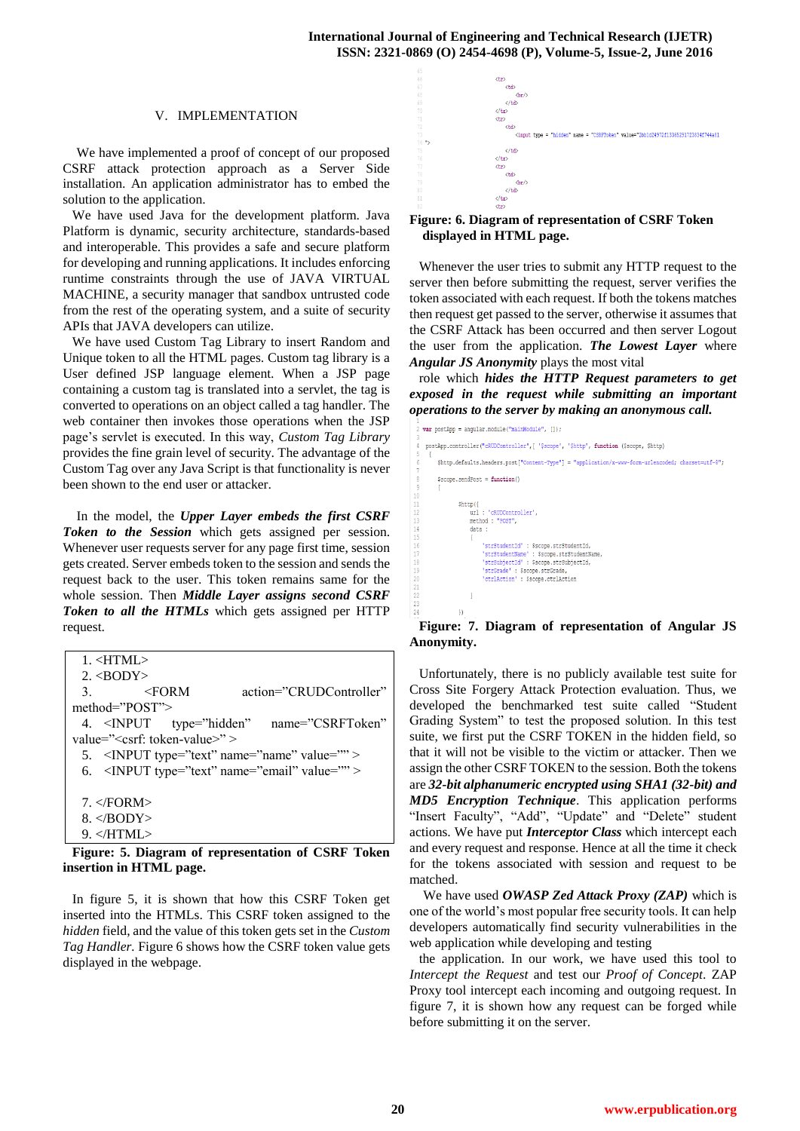### V. IMPLEMENTATION

We have implemented a proof of concept of our proposed CSRF attack protection approach as a Server Side installation. An application administrator has to embed the solution to the application.

We have used Java for the development platform. Java Platform is dynamic, security architecture, standards-based and interoperable. This provides a safe and secure platform for developing and running applications. It includes enforcing runtime constraints through the use of JAVA VIRTUAL MACHINE, a security manager that sandbox untrusted code from the rest of the operating system, and a suite of security APIs that JAVA developers can utilize.

We have used Custom Tag Library to insert Random and Unique token to all the HTML pages. Custom tag library is a User defined JSP language element. When a JSP page containing a custom tag is translated into a servlet, the tag is converted to operations on an object called a tag handler. The web container then invokes those operations when the JSP page's servlet is executed. In this way, *Custom Tag Library* provides the fine grain level of security. The advantage of the Custom Tag over any Java Script is that functionality is never been shown to the end user or attacker.

In the model, the *Upper Layer embeds the first CSRF Token to the Session* which gets assigned per session. Whenever user requests server for any page first time, session gets created. Server embeds token to the session and sends the request back to the user. This token remains same for the whole session. Then *Middle Layer assigns second CSRF Token to all the HTMLs* which gets assigned per HTTP request.

| $1.$ <html></html>                            |                                                       |  |  |  |
|-----------------------------------------------|-------------------------------------------------------|--|--|--|
| $2 \lt$ BODY>                                 |                                                       |  |  |  |
| 3. $\leq$ FORM                                | action="CRUDController"                               |  |  |  |
| $method="POST"$                               |                                                       |  |  |  |
|                                               | 4. <input <="" name="CSRFToken" td="" type="hidden"/> |  |  |  |
| $value=" token-value"$                        |                                                       |  |  |  |
|                                               | 5. <input name="name" type="text" value=""/>          |  |  |  |
| 6. <input name="email" type="text" value=""/> |                                                       |  |  |  |
|                                               |                                                       |  |  |  |
| $7 <$ FORM $>$                                |                                                       |  |  |  |
| $8. <$ $RODY$ >                               |                                                       |  |  |  |
| 9.                                            |                                                       |  |  |  |

**Figure: 5. Diagram of representation of CSRF Token insertion in HTML page.**

In figure 5, it is shown that how this CSRF Token get inserted into the HTMLs. This CSRF token assigned to the *hidden* field, and the value of this token gets set in the *Custom Tag Handler.* Figure 6 shows how the CSRF token value gets displayed in the webpage.



## **Figure: 6. Diagram of representation of CSRF Token displayed in HTML page.**

Whenever the user tries to submit any HTTP request to the server then before submitting the request, server verifies the token associated with each request. If both the tokens matches then request get passed to the server, otherwise it assumes that the CSRF Attack has been occurred and then server Logout the user from the application. *The Lowest Layer* where *Angular JS Anonymity* plays the most vital

role which *hides the HTTP Request parameters to get exposed in the request while submitting an important operations to the server by making an anonymous call.*

| var postApp = angular.module("mainModule", [1];                                                                               |
|-------------------------------------------------------------------------------------------------------------------------------|
| postApp.controller("cRUDController", [ 'Sscope', 'Shttp', function (Sscope, Shttp)                                            |
| \$http.defaults.headers.post["Content-Type"] = "application/x-www-form-urlencoded; charset=utf-8";                            |
| $Sscore.sendPost = function()$                                                                                                |
| \$http://                                                                                                                     |
| url : 'cRUDController',                                                                                                       |
| method : "POST".                                                                                                              |
| data:                                                                                                                         |
|                                                                                                                               |
| 'strStudentId' : \$scope.strStudentId,<br>'strStudentName' : \$scope.strStudentName,<br>'strSubjectId' : Sscope.strSubjectId, |
| 'strGrade' : \$scope.strGrade,                                                                                                |
| 'ctrlAction' : Sscope.ctrlAction                                                                                              |
|                                                                                                                               |
|                                                                                                                               |
| a<br>$\mathbf{a}$ $\mathbf{b}$<br>$\cdot$ $\cdot$                                                                             |

**Figure: 7. Diagram of representation of Angular JS Anonymity.**

Unfortunately, there is no publicly available test suite for Cross Site Forgery Attack Protection evaluation. Thus, we developed the benchmarked test suite called "Student Grading System" to test the proposed solution. In this test suite, we first put the CSRF TOKEN in the hidden field, so that it will not be visible to the victim or attacker. Then we assign the other CSRF TOKEN to the session. Both the tokens are *32-bit alphanumeric encrypted using SHA1 (32-bit) and MD5 Encryption Technique*. This application performs "Insert Faculty", "Add", "Update" and "Delete" student actions. We have put *Interceptor Class* which intercept each and every request and response. Hence at all the time it check for the tokens associated with session and request to be matched.

We have used *OWASP Zed Attack Proxy (ZAP)* which is one of the world's most popular free security tools. It can help developers automatically find security vulnerabilities in the web application while developing and testing

the application. In our work, we have used this tool to *Intercept the Request* and test our *Proof of Concept*. ZAP Proxy tool intercept each incoming and outgoing request. In figure 7, it is shown how any request can be forged while before submitting it on the server.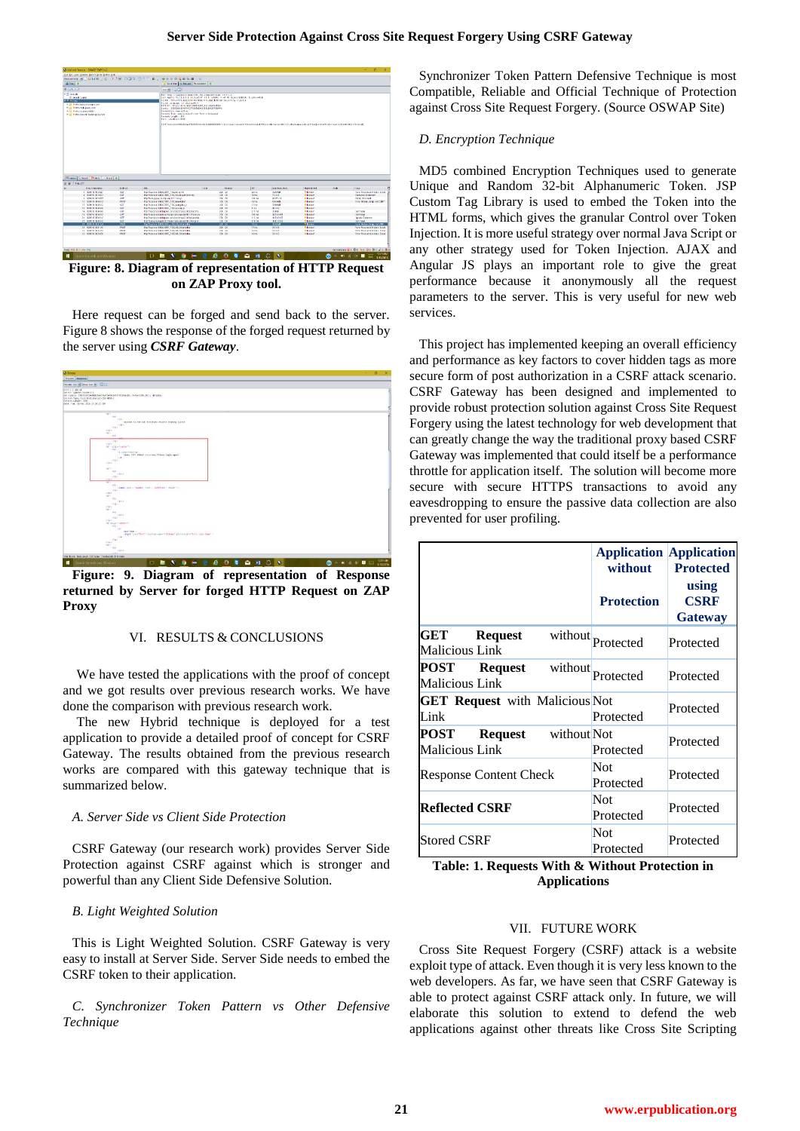

**Figure: 8. Diagram of representation of HTTP Request on ZAP Proxy tool.**

Here request can be forged and send back to the server. Figure 8 shows the response of the forged request returned by the server using *CSRF Gateway*.



**Figure: 9. Diagram of representation of Response returned by Server for forged HTTP Request on ZAP Proxy**

## VI. RESULTS & CONCLUSIONS

We have tested the applications with the proof of concept and we got results over previous research works. We have done the comparison with previous research work.

The new Hybrid technique is deployed for a test application to provide a detailed proof of concept for CSRF Gateway. The results obtained from the previous research works are compared with this gateway technique that is summarized below.

#### *A. Server Side vs Client Side Protection*

CSRF Gateway (our research work) provides Server Side Protection against CSRF against which is stronger and powerful than any Client Side Defensive Solution.

## *B. Light Weighted Solution*

This is Light Weighted Solution. CSRF Gateway is very easy to install at Server Side. Server Side needs to embed the CSRF token to their application.

*C. Synchronizer Token Pattern vs Other Defensive Technique*

Synchronizer Token Pattern Defensive Technique is most Compatible, Reliable and Official Technique of Protection against Cross Site Request Forgery. (Source OSWAP Site)

#### *D. Encryption Technique*

MD5 combined Encryption Techniques used to generate Unique and Random 32-bit Alphanumeric Token. JSP Custom Tag Library is used to embed the Token into the HTML forms, which gives the granular Control over Token Injection. It is more useful strategy over normal Java Script or any other strategy used for Token Injection. AJAX and Angular JS plays an important role to give the great performance because it anonymously all the request parameters to the server. This is very useful for new web services.

This project has implemented keeping an overall efficiency and performance as key factors to cover hidden tags as more secure form of post authorization in a CSRF attack scenario. CSRF Gateway has been designed and implemented to provide robust protection solution against Cross Site Request Forgery using the latest technology for web development that can greatly change the way the traditional proxy based CSRF Gateway was implemented that could itself be a performance throttle for application itself. The solution will become more secure with secure HTTPS transactions to avoid any eavesdropping to ensure the passive data collection are also prevented for user profiling.

|                                                                | <b>Application Application</b><br>without | <b>Protected</b>                       |
|----------------------------------------------------------------|-------------------------------------------|----------------------------------------|
|                                                                | <b>Protection</b>                         | using<br><b>CSRF</b><br><b>Gateway</b> |
| GET<br>Request<br>Malicious Link                               | without Protected                         | Protected                              |
| <b>POST</b> Request<br>Malicious Link                          | without Protected                         | Protected                              |
| <b>GET Request</b> with Malicious Not<br>Link                  | Protected                                 | Protected                              |
| POST<br>without Not<br><b>Request</b><br><b>Malicious Link</b> | Protected                                 | Protected                              |
| <b>Response Content Check</b>                                  | <b>Not</b><br>Protected                   | Protected                              |
| Reflected CSRF                                                 | <b>Not</b><br>Protected                   | Protected                              |
| <b>Stored CSRF</b>                                             | <b>Not</b><br>Protected                   | Protected                              |

**Table: 1. Requests With & Without Protection in Applications**

# VII. FUTURE WORK

Cross Site Request Forgery (CSRF) attack is a website exploit type of attack. Even though it is very less known to the web developers. As far, we have seen that CSRF Gateway is able to protect against CSRF attack only. In future, we will elaborate this solution to extend to defend the web applications against other threats like Cross Site Scripting